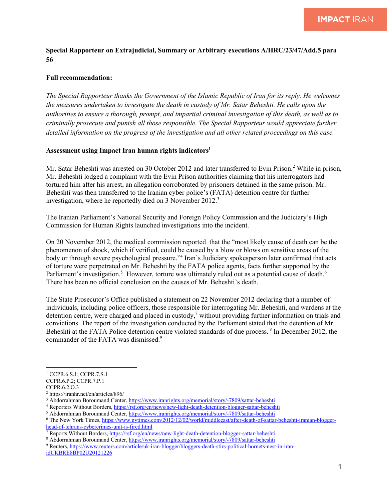## **Special Rapporteur on Extrajudicial, Summary or Arbitrary executions A/HRC/23/47/Add.5 para 56**

## **Full recommendation:**

*The Special Rapporteur thanks the Government of the Islamic Republic of Iran for its reply. He welcomes the measures undertaken to investigate the death in custody of Mr. Satar Beheshti. He calls upon the authorities to ensure a thorough, prompt, and impartial criminal investigation of this death, as well as to criminally prosecute and punish all those responsible. The Special Rapporteur would appreciate further detailed information on the progress of the investigation and all other related proceedings on this case.* 

## **Assessment using Impact Iran human rights indicators1**

Mr. Satar Beheshti was arrested on 30 October 2012 and later transferred to Evin Prison.<sup>2</sup> While in prison, Mr. Beheshti lodged a complaint with the Evin Prison authorities claiming that his interrogators had tortured him after his arrest, an allegation corroborated by prisoners detained in the same prison. Mr. Beheshti was then transferred to the Iranian cyber police's (FATA) detention centre for further investigation, where he reportedly died on 3 November  $2012<sup>3</sup>$ 

The Iranian Parliament's National Security and Foreign Policy Commission and the Judiciary's High Commission for Human Rights launched investigations into the incident.

On 20 November 2012, the medical commission reported that the "most likely cause of death can be the phenomenon of shock, which if verified, could be caused by a blow or blows on sensitive areas of the body or through severe psychological pressure."<sup>4</sup> Iran's Judiciary spokesperson later confirmed that acts of torture were perpetrated on Mr. Beheshti by the FATA police agents, facts further supported by the Parliament's investigation.<sup>5</sup> However, torture was ultimately ruled out as a potential cause of death.<sup>6</sup> There has been no official conclusion on the causes of Mr. Beheshti's death.

The State Prosecutor's Office published a statement on 22 November 2012 declaring that a number of individuals, including police officers, those responsible for interrogating Mr. Beheshti, and wardens at the detention centre, were charged and placed in custody,<sup>7</sup> without providing further information on trials and convictions. The report of the investigation conducted by the Parliament stated that the detention of Mr. Beheshti at the FATA Police detention centre violated standards of due process.<sup>8</sup> In December 2012, the commander of the FATA was dismissed.<sup>9</sup>

<sup>1</sup> CCPR.6.S.1; CCPR.7.S.1

CCPR.6.P.2; CCPR.7.P.1

CCPR.6.2.O.3

<sup>2</sup> https://iranhr.net/en/articles/896/

<sup>&</sup>lt;sup>3</sup> Abdorrahman Boroumand Center, https://www.iranrights.org/memorial/story/-7809/sattar-beheshti

<sup>4</sup> Reporters Without Borders, https://rsf.org/en/news/new-light-death-detention-blogger-sattar-beheshti

<sup>&</sup>lt;sup>5</sup> Abdorrahman Boroumand Center, https://www.iranrights.org/memorial/story/-7809/sattar-beheshti

<sup>&</sup>lt;sup>6</sup> The New York Times, https://www.nytimes.com/2012/12/02/world/middleeast/after-death-of-sattar-beheshti-iranian-bloggerhead-of-tehrans-cybercrimes-unit-is-fired.html

<sup>7</sup> Reports Without Borders, https://rsf.org/en/news/new-light-death-detention-blogger-sattar-beheshti

<sup>8</sup> Abdorrahman Boroumand Center, https://www.iranrights.org/memorial/story/-7809/sattar-beheshti

<sup>9</sup> Reuters, https://www.reuters.com/article/uk-iran-blogger/bloggers-death-stirs-political-hornets-nest-in-iranidUKBRE8BP02U20121226